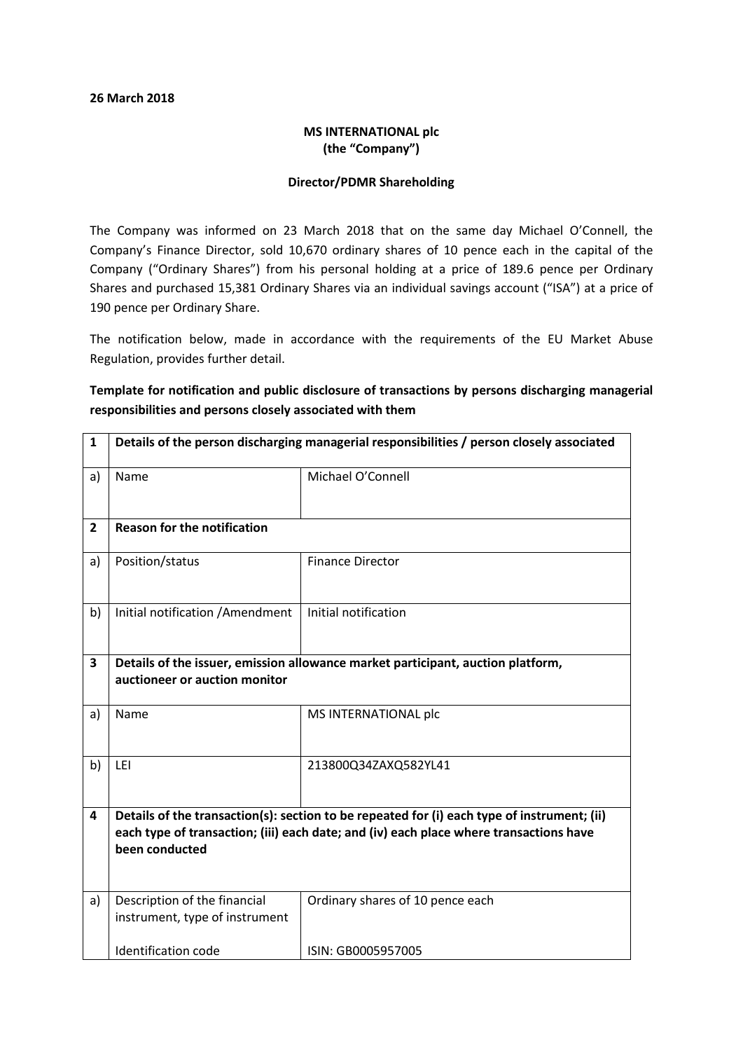#### 26 March 2018

## MS INTERNATIONAL plc (the "Company")

### Director/PDMR Shareholding

The Company was informed on 23 March 2018 that on the same day Michael O'Connell, the Company's Finance Director, sold 10,670 ordinary shares of 10 pence each in the capital of the Company ("Ordinary Shares") from his personal holding at a price of 189.6 pence per Ordinary Shares and purchased 15,381 Ordinary Shares via an individual savings account ("ISA") at a price of 190 pence per Ordinary Share.

The notification below, made in accordance with the requirements of the EU Market Abuse Regulation, provides further detail.

## Template for notification and public disclosure of transactions by persons discharging managerial responsibilities and persons closely associated with them

| 1            | Details of the person discharging managerial responsibilities / person closely associated                                                                                                               |                                  |
|--------------|---------------------------------------------------------------------------------------------------------------------------------------------------------------------------------------------------------|----------------------------------|
| a)           | Name                                                                                                                                                                                                    | Michael O'Connell                |
| $\mathbf{2}$ | <b>Reason for the notification</b>                                                                                                                                                                      |                                  |
| a)           | Position/status                                                                                                                                                                                         | <b>Finance Director</b>          |
| b)           | Initial notification / Amendment                                                                                                                                                                        | Initial notification             |
| 3            | Details of the issuer, emission allowance market participant, auction platform,<br>auctioneer or auction monitor                                                                                        |                                  |
| a)           | Name                                                                                                                                                                                                    | MS INTERNATIONAL plc             |
| b)           | LEI                                                                                                                                                                                                     | 213800Q34ZAXQ582YL41             |
| 4            | Details of the transaction(s): section to be repeated for (i) each type of instrument; (ii)<br>each type of transaction; (iii) each date; and (iv) each place where transactions have<br>been conducted |                                  |
| a)           | Description of the financial<br>instrument, type of instrument                                                                                                                                          | Ordinary shares of 10 pence each |
|              | <b>Identification code</b>                                                                                                                                                                              | ISIN: GB0005957005               |